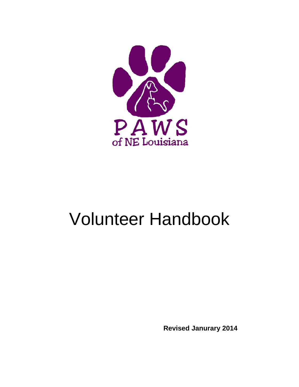

# Volunteer Handbook

 **Revised Janurary 2014**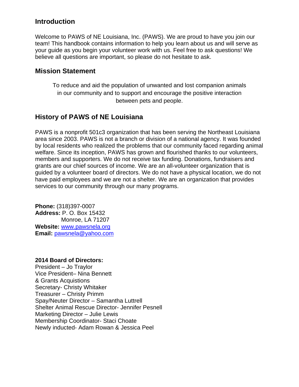# **Introduction**

Welcome to PAWS of NE Louisiana, Inc. (PAWS). We are proud to have you join our team! This handbook contains information to help you learn about us and will serve as your guide as you begin your volunteer work with us. Feel free to ask questions! We believe all questions are important, so please do not hesitate to ask.

# **Mission Statement**

To reduce and aid the population of unwanted and lost companion animals in our community and to support and encourage the positive interaction between pets and people.

# **History of PAWS of NE Louisiana**

PAWS is a nonprofit 501c3 organization that has been serving the Northeast Louisiana area since 2003. PAWS is not a branch or division of a national agency. It was founded by local residents who realized the problems that our community faced regarding animal welfare. Since its inception, PAWS has grown and flourished thanks to our volunteers, members and supporters. We do not receive tax funding. Donations, fundraisers and grants are our chief sources of income. We are an all-volunteer organization that is guided by a volunteer board of directors. We do not have a physical location, we do not have paid employees and we are not a shelter. We are an organization that provides services to our community through our many programs.

**Phone:** (318)397-0007 **Address:** P. O. Box 15432 Monroe, LA 71207 **Website:** www.pawsnela.org **Email:** pawsnela@yahoo.com

#### **2014 Board of Directors:**

President – Jo Traylor Vice President– Nina Bennett & Grants Acquistions Secretary- Christy Whitaker Treasurer – Christy Primm Spay/Neuter Director – Samantha Luttrell Shelter Animal Rescue Director- Jennifer Pesnell Marketing Director – Julie Lewis Membership Coordinator- Staci Choate Newly inducted- Adam Rowan & Jessica Peel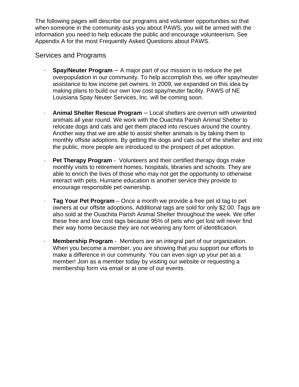The following pages will describe our programs and volunteer opportunities so that when someone in the community asks you about PAWS, you will be armed with the information you need to help educate the public and encourage volunteerism. See Appendix A for the most Frequently Asked Questions about PAWS.

# Services and Programs

- · **Spay/Neuter Program** A major part of our mission is to reduce the pet overpopulation in our community. To help accomplish this, we offer spay/neuter assistance to low income pet owners. In 2009, we expanded on this idea by making plans to build our own low cost spay/neuter facility. PAWS of NE Louisiana Spay Neuter Services, Inc. will be coming soon.
- · **Animal Shelter Rescue Program** Local shelters are overrun with unwanted animals all year round. We work with the Ouachita Parish Animal Shelter to relocate dogs and cats and get them placed into rescues around the country. Another way that we are able to assist shelter animals is by taking them to monthly offsite adoptions. By getting the dogs and cats out of the shelter and into the public, more people are introduced to the prospect of pet adoption.
- **Pet Therapy Program** Volunteers and their certified therapy dogs make monthly visits to retirement homes, hospitals, libraries and schools. They are able to enrich the lives of those who may not get the opportunity to otherwise interact with pets. Humane education is another service they provide to encourage responsible pet ownership.
- · **Tag Your Pet Program** Once a month we provide a free pet id tag to pet owners at our offsite adoptions. Additional tags are sold for only \$2.00. Tags are also sold at the Ouachita Parish Animal Shelter throughout the week. We offer these free and low cost tags because 95% of pets who get lost will never find their way home because they are not wearing any form of identification.
- **Membership Program** Members are an integral part of our organization. When you become a member, you are showing that you support our efforts to make a difference in our community. You can even sign up your pet as a member! Join as a member today by visiting our website or requesting a membership form via email or at one of our events.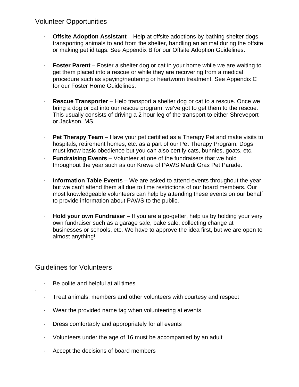# Volunteer Opportunities

- · **Offsite Adoption Assistant** Help at offsite adoptions by bathing shelter dogs, transporting animals to and from the shelter, handling an animal during the offsite or making pet id tags. See Appendix B for our Offsite Adoption Guidelines.
- · **Foster Parent** Foster a shelter dog or cat in your home while we are waiting to get them placed into a rescue or while they are recovering from a medical procedure such as spaying/neutering or heartworm treatment. See Appendix C for our Foster Home Guidelines.
- **Rescue Transporter** Help transport a shelter dog or cat to a rescue. Once we bring a dog or cat into our rescue program, we've got to get them to the rescue. This usually consists of driving a 2 hour leg of the transport to either Shreveport or Jackson, MS.
- · **Pet Therapy Team** Have your pet certified as a Therapy Pet and make visits to hospitals, retirement homes, etc. as a part of our Pet Therapy Program. Dogs must know basic obedience but you can also certify cats, bunnies, goats, etc.
- · **Fundraising Events** Volunteer at one of the fundraisers that we hold throughout the year such as our Krewe of PAWS Mardi Gras Pet Parade.
- **Information Table Events** We are asked to attend events throughout the year but we can't attend them all due to time restrictions of our board members. Our most knowledgeable volunteers can help by attending these events on our behalf to provide information about PAWS to the public.
- · **Hold your own Fundraiser** If you are a go-getter, help us by holding your very own fundraiser such as a garage sale, bake sale, collecting change at businesses or schools, etc. We have to approve the idea first, but we are open to almost anything!

# Guidelines for Volunteers

·

- · Be polite and helpful at all times
- · Treat animals, members and other volunteers with courtesy and respect
- · Wear the provided name tag when volunteering at events
- · Dress comfortably and appropriately for all events
- · Volunteers under the age of 16 must be accompanied by an adult
- · Accept the decisions of board members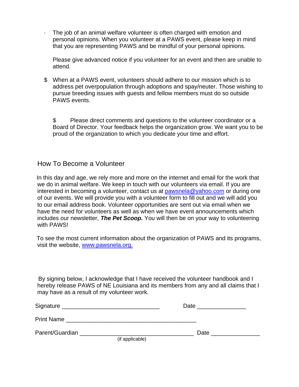The job of an animal welfare volunteer is often charged with emotion and personal opinions. When you volunteer at a PAWS event, please keep in mind that you are representing PAWS and be mindful of your personal opinions.

Please give advanced notice if you volunteer for an event and then are unable to attend.

\$ When at a PAWS event, volunteers should adhere to our mission which is to address pet overpopulation through adoptions and spay/neuter. Those wishing to pursue breeding issues with guests and fellow members must do so outside PAWS events.

\$ Please direct comments and questions to the volunteer coordinator or a Board of Director. Your feedback helps the organization grow. We want you to be proud of the organization to which you dedicate your time and effort.

# How To Become a Volunteer

 In this day and age, we rely more and more on the internet and email for the work that we do in animal welfare. We keep in touch with our volunteers via email. If you are interested in becoming a volunteer, contact us at pawsnela@yahoo.com or during one of our events. We will provide you with a volunteer form to fill out and we will add you to our email address book. Volunteer opportunities are sent out via email when we have the need for volunteers as well as when we have event announcements which includes our newsletter, *The Pet Scoop.* You will then be on your way to volunteering with PAWS!

 To see the most current information about the organization of PAWS and its programs, visit the website, www.pawsnela.org.

 By signing below, I acknowledge that I have received the volunteer handbook and I hereby release PAWS of NE Louisiana and its members from any and all claims that I may have as a result of my volunteer work.

| Signature         |                 | Date |  |
|-------------------|-----------------|------|--|
| <b>Print Name</b> |                 |      |  |
| Parent/Guardian   |                 | Date |  |
|                   | (if applicable) |      |  |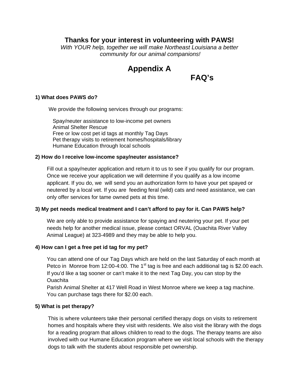# **Thanks for your interest in volunteering with PAWS!**

*With YOUR help, together we will make Northeast Louisiana a better community for our animal companions!* 

# **Appendix A**

**FAQ's** 

#### **1) What does PAWS do?**

We provide the following services through our programs:

Spay/neuter assistance to low-income pet owners Animal Shelter Rescue Free or low cost pet id tags at monthly Tag Days Pet therapy visits to retirement homes/hospitals/library Humane Education through local schools

#### **2) How do I receive low-income spay/neuter assistance?**

Fill out a spay/neuter application and return it to us to see if you qualify for our program. Once we receive your application we will determine if you qualify as a low income applicant. If you do, we will send you an authorization form to have your pet spayed or neutered by a local vet. If you are feeding feral (wild) cats and need assistance, we can only offer services for tame owned pets at this time.

#### **3) My pet needs medical treatment and I can't afford to pay for it. Can PAWS help?**

We are only able to provide assistance for spaying and neutering your pet. If your pet needs help for another medical issue, please contact ORVAL (Ouachita River Valley Animal League) at 323-4989 and they may be able to help you.

#### **4) How can I get a free pet id tag for my pet?**

You can attend one of our Tag Days which are held on the last Saturday of each month at Petco in Monroe from 12:00-4:00. The 1<sup>st</sup> tag is free and each additional tag is \$2.00 each. If you'd like a tag sooner or can't make it to the next Tag Day, you can stop by the Ouachita

Parish Animal Shelter at 417 Well Road in West Monroe where we keep a tag machine. You can purchase tags there for \$2.00 each.

#### **5) What is pet therapy?**

This is where volunteers take their personal certified therapy dogs on visits to retirement homes and hospitals where they visit with residents. We also visit the library with the dogs for a reading program that allows children to read to the dogs. The therapy teams are also involved with our Humane Education program where we visit local schools with the therapy dogs to talk with the students about responsible pet ownership.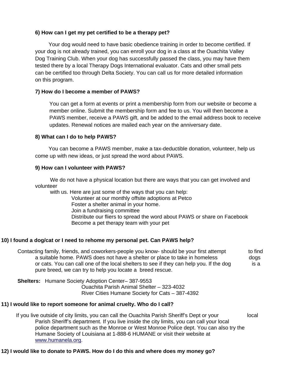#### **6) How can I get my pet certified to be a therapy pet?**

 Your dog would need to have basic obedience training in order to become certified. If your dog is not already trained, you can enroll your dog in a class at the Ouachita Valley Dog Training Club. When your dog has successfully passed the class, you may have them tested there by a local Therapy Dogs International evaluator. Cats and other small pets can be certified too through Delta Society. You can call us for more detailed information on this program.

#### **7) How do I become a member of PAWS?**

You can get a form at events or print a membership form from our website or become a member online. Submit the membership form and fee to us. You will then become a PAWS member, receive a PAWS gift, and be added to the email address book to receive updates. Renewal notices are mailed each year on the anniversary date.

#### **8) What can I do to help PAWS?**

 You can become a PAWS member, make a tax-deductible donation, volunteer, help us come up with new ideas, or just spread the word about PAWS.

#### **9) How can I volunteer with PAWS?**

 We do not have a physical location but there are ways that you can get involved and volunteer

 with us. Here are just some of the ways that you can help: Volunteer at our monthly offsite adoptions at Petco Foster a shelter animal in your home. Join a fundraising committee

 Distribute our fliers to spread the word about PAWS or share on Facebook Become a pet therapy team with your pet

#### **10) I found a dog/cat or I need to rehome my personal pet. Can PAWS help?**

 Contacting family, friends, and coworkers-people you know- should be your first attempt to find a suitable home. PAWS does not have a shelter or place to take in homeless dogs or cats. You can call one of the local shelters to see if they can help you. If the dog is a pure breed, we can try to help you locate a breed rescue.

 **Shelters:** Humane Society Adoption Center– 387-9553 Ouachita Parish Animal Shelter – 323-4032 River Cities Humane Society for Cats – 387-4392

#### **11) I would like to report someone for animal cruelty. Who do I call?**

 If you live outside of city limits, you can call the Ouachita Parish Sheriff's Dept or your local Parish Sheriff's department. If you live inside the city limits, you can call your local police department such as the Monroe or West Monroe Police dept. You can also try the Humane Society of Louisiana at 1-888-6 HUMANE or visit their website at www.humanela.org.

#### **12) I would like to donate to PAWS. How do I do this and where does my money go?**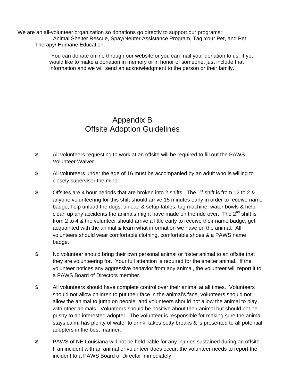We are an all-volunteer organization so donations go directly to support our programs: Animal Shelter Rescue, Spay/Neuter Assistance Program, Tag Your Pet, and Pet Therapy/ Humane Education.

> You can donate online through our website or you can mail your donation to us. If you would like to make a donation in memory or in honor of someone, just include that information and we will send an acknowledgment to the person or their family.

# Appendix B Offsite Adoption Guidelines

- \$ All volunteers requesting to work at an offsite will be required to fill out the PAWS Volunteer Waiver.
- \$ All volunteers under the age of 16 must be accompanied by an adult who is willing to closely supervisor the minor.
- $\sin$  Offsites are 4 hour periods that are broken into 2 shifts. The 1<sup>st</sup> shift is from 12 to 2 & anyone volunteering for this shift should arrive 15 minutes early in order to receive name badge, help unload the dogs, unload & setup tables, tag machine, water bowls & help clean up any accidents the animals might have made on the ride over. The  $2^{nd}$  shift is from 2 to 4 & the volunteer should arrive a little early to receive their name badge, get acquainted with the animal & learn what information we have on the animal. All volunteers should wear comfortable clothing, comfortable shoes & a PAWS name badge.
- \$ No volunteer should bring their own personal animal or foster animal to an offsite that they are volunteering for. Your full attention is required for the shelter animal. If the volunteer notices any aggressive behavior from any animal, the volunteer will report it to a PAWS Board of Directors member.
- \$ All volunteers should have complete control over their animal at all times. Volunteers should not allow children to put their face in the animal's face, volunteers should not allow the animal to jump on people, and volunteers should not allow the animal to play with other animals. Volunteers should be positive about their animal but should not be pushy to an interested adopter. The volunteer is responsible for making sure the animal stays calm, has plenty of water to drink, takes potty breaks & is presented to all potential adopters in the best manner.
- \$ PAWS of NE Louisiana will not be held liable for any injuries sustained during an offsite. If an incident with an animal or volunteer does occur, the volunteer needs to report the incident to a PAWS Board of Director immediately.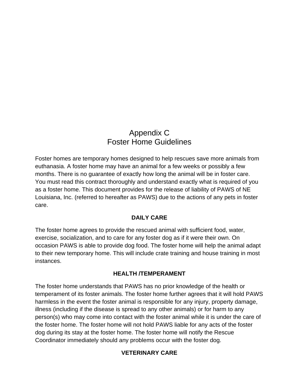# Appendix C Foster Home Guidelines

Foster homes are temporary homes designed to help rescues save more animals from euthanasia. A foster home may have an animal for a few weeks or possibly a few months. There is no guarantee of exactly how long the animal will be in foster care. You must read this contract thoroughly and understand exactly what is required of you as a foster home. This document provides for the release of liability of PAWS of NE Louisiana, Inc. (referred to hereafter as PAWS) due to the actions of any pets in foster care.

# **DAILY CARE**

The foster home agrees to provide the rescued animal with sufficient food, water, exercise, socialization, and to care for any foster dog as if it were their own. On occasion PAWS is able to provide dog food. The foster home will help the animal adapt to their new temporary home. This will include crate training and house training in most instances.

## **HEALTH /TEMPERAMENT**

The foster home understands that PAWS has no prior knowledge of the health or temperament of its foster animals. The foster home further agrees that it will hold PAWS harmless in the event the foster animal is responsible for any injury, property damage, illness (including if the disease is spread to any other animals) or for harm to any person(s) who may come into contact with the foster animal while it is under the care of the foster home. The foster home will not hold PAWS liable for any acts of the foster dog during its stay at the foster home. The foster home will notify the Rescue Coordinator immediately should any problems occur with the foster dog.

# **VETERINARY CARE**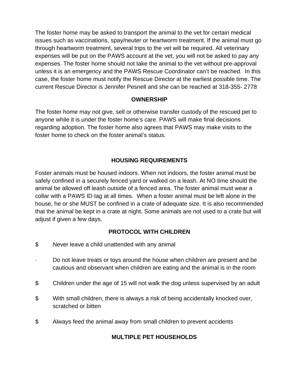The foster home may be asked to transport the animal to the vet for certain medical issues such as vaccinations, spay/neuter or heartworm treatment. If the animal must go through heartworm treatment, several trips to the vet will be required. All veterinary expenses will be put on the PAWS account at the vet, you will not be asked to pay any expenses. The foster home should not take the animal to the vet without pre-approval unless it is an emergency and the PAWS Rescue Coordinator can't be reached. In this case, the foster home must notify the Rescue Director at the earliest possible time. The current Rescue Director is Jennifer Pesnell and she can be reached at 318-355- 2778

### **OWNERSHIP**

The foster home may not give, sell or otherwise transfer custody of the rescued pet to anyone while it is under the foster home's care. PAWS will make final decisions regarding adoption. The foster home also agrees that PAWS may make visits to the foster home to check on the foster animal's status.

## **HOUSING REQUIREMENTS**

Foster animals must be housed indoors. When not indoors, the foster animal must be safely confined in a securely fenced yard or walked on a leash. At NO time should the animal be allowed off leash outside of a fenced area. The foster animal must wear a collar with a PAWS ID tag at all times. When a foster animal must be left alone in the house, he or she MUST be confined in a crate of adequate size. It is also recommended that the animal be kept in a crate at night. Some animals are not used to a crate but will adjust if given a few days.

## **PROTOCOL WITH CHILDREN**

- \$ Never leave a child unattended with any animal
- Do not leave treats or toys around the house when children are present and be cautious and observant when children are eating and the animal is in the room
- \$ Children under the age of 15 will not walk the dog unless supervised by an adult
- \$ With small children, there is always a risk of being accidentally knocked over, scratched or bitten
- \$ Always feed the animal away from small children to prevent accidents

# **MULTIPLE PET HOUSEHOLDS**